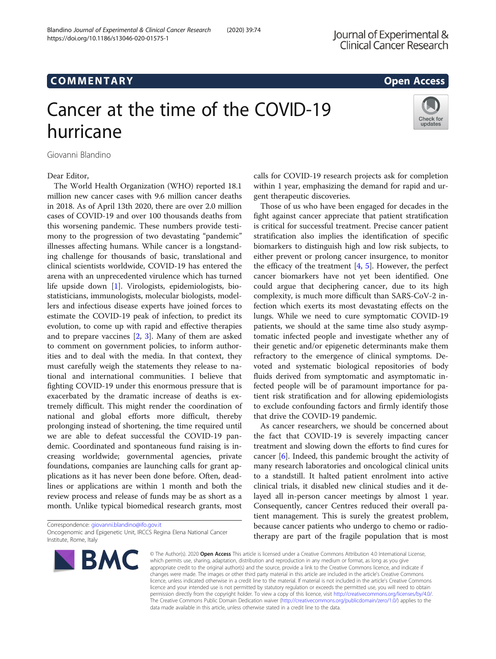# COMM EN TARY Open Access

# Cancer at the time of the COVID-19



Giovanni Blandino

hurricane

Dear Editor,

The World Health Organization (WHO) reported 18.1 million new cancer cases with 9.6 million cancer deaths in 2018. As of April 13th 2020, there are over 2.0 million cases of COVID-19 and over 100 thousands deaths from this worsening pandemic. These numbers provide testimony to the progression of two devastating "pandemic" illnesses affecting humans. While cancer is a longstanding challenge for thousands of basic, translational and clinical scientists worldwide, COVID-19 has entered the arena with an unprecedented virulence which has turned life upside down [[1\]](#page-1-0). Virologists, epidemiologists, biostatisticians, immunologists, molecular biologists, modellers and infectious disease experts have joined forces to estimate the COVID-19 peak of infection, to predict its evolution, to come up with rapid and effective therapies and to prepare vaccines [\[2,](#page-1-0) [3\]](#page-1-0). Many of them are asked to comment on government policies, to inform authorities and to deal with the media. In that context, they must carefully weigh the statements they release to national and international communities. I believe that fighting COVID-19 under this enormous pressure that is exacerbated by the dramatic increase of deaths is extremely difficult. This might render the coordination of national and global efforts more difficult, thereby prolonging instead of shortening, the time required until we are able to defeat successful the COVID-19 pandemic. Coordinated and spontaneous fund raising is increasing worldwide; governmental agencies, private foundations, companies are launching calls for grant applications as it has never been done before. Often, deadlines or applications are within 1 month and both the review process and release of funds may be as short as a month. Unlike typical biomedical research grants, most

Correspondence: [giovanni.blandino@ifo.gov.it](mailto:giovanni.blandino@ifo.gov.it) Oncogenomic and Epigenetic Unit, IRCCS Regina Elena National Cancer Institute, Rome, Italy



calls for COVID-19 research projects ask for completion within 1 year, emphasizing the demand for rapid and urgent therapeutic discoveries.

Those of us who have been engaged for decades in the fight against cancer appreciate that patient stratification is critical for successful treatment. Precise cancer patient stratification also implies the identification of specific biomarkers to distinguish high and low risk subjects, to either prevent or prolong cancer insurgence, to monitor the efficacy of the treatment  $[4, 5]$  $[4, 5]$  $[4, 5]$ . However, the perfect cancer biomarkers have not yet been identified. One could argue that deciphering cancer, due to its high complexity, is much more difficult than SARS-CoV-2 infection which exerts its most devastating effects on the lungs. While we need to cure symptomatic COVID-19 patients, we should at the same time also study asymptomatic infected people and investigate whether any of their genetic and/or epigenetic determinants make them refractory to the emergence of clinical symptoms. Devoted and systematic biological repositories of body fluids derived from symptomatic and asymptomatic infected people will be of paramount importance for patient risk stratification and for allowing epidemiologists to exclude confounding factors and firmly identify those that drive the COVID-19 pandemic.

As cancer researchers, we should be concerned about the fact that COVID-19 is severely impacting cancer treatment and slowing down the efforts to find cures for cancer [[6\]](#page-1-0). Indeed, this pandemic brought the activity of many research laboratories and oncological clinical units to a standstill. It halted patient enrolment into active clinical trials, it disabled new clinical studies and it delayed all in-person cancer meetings by almost 1 year. Consequently, cancer Centres reduced their overall patient management. This is surely the greatest problem, because cancer patients who undergo to chemo or radiotherapy are part of the fragile population that is most

© The Author(s), 2020 **Open Access** This article is licensed under a Creative Commons Attribution 4.0 International License, which permits use, sharing, adaptation, distribution and reproduction in any medium or format, as long as you give appropriate credit to the original author(s) and the source, provide a link to the Creative Commons licence, and indicate if changes were made. The images or other third party material in this article are included in the article's Creative Commons licence, unless indicated otherwise in a credit line to the material. If material is not included in the article's Creative Commons licence and your intended use is not permitted by statutory regulation or exceeds the permitted use, you will need to obtain permission directly from the copyright holder. To view a copy of this licence, visit [http://creativecommons.org/licenses/by/4.0/.](http://creativecommons.org/licenses/by/4.0/) The Creative Commons Public Domain Dedication waiver [\(http://creativecommons.org/publicdomain/zero/1.0/](http://creativecommons.org/publicdomain/zero/1.0/)) applies to the data made available in this article, unless otherwise stated in a credit line to the data.